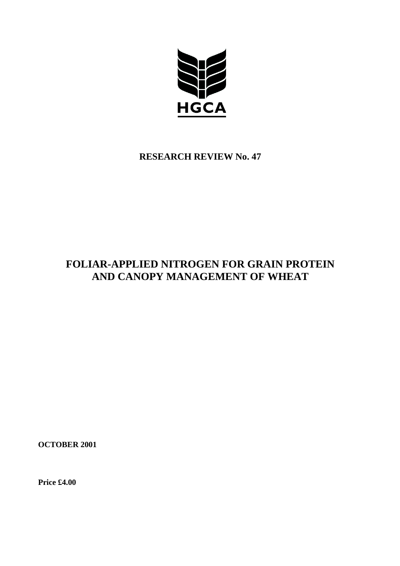

# **RESEARCH REVIEW No. 47**

# **FOLIAR-APPLIED NITROGEN FOR GRAIN PROTEIN AND CANOPY MANAGEMENT OF WHEAT**

**OCTOBER 2001**

**Price £4.00**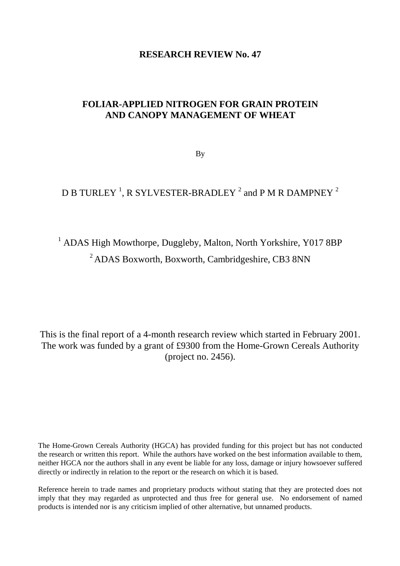# **RESEARCH REVIEW No. 47**

# **FOLIAR-APPLIED NITROGEN FOR GRAIN PROTEIN AND CANOPY MANAGEMENT OF WHEAT**

By

# D B TURLEY  $^1$ , R SYLVESTER-BRADLEY  $^2$  and P M R DAMPNEY  $^2$

# <sup>1</sup> ADAS High Mowthorpe, Duggleby, Malton, North Yorkshire, Y017 8BP 2 ADAS Boxworth, Boxworth, Cambridgeshire, CB3 8NN

This is the final report of a 4-month research review which started in February 2001. The work was funded by a grant of £9300 from the Home-Grown Cereals Authority (project no. 2456).

The Home-Grown Cereals Authority (HGCA) has provided funding for this project but has not conducted the research or written this report. While the authors have worked on the best information available to them, neither HGCA nor the authors shall in any event be liable for any loss, damage or injury howsoever suffered directly or indirectly in relation to the report or the research on which it is based.

Reference herein to trade names and proprietary products without stating that they are protected does not imply that they may regarded as unprotected and thus free for general use. No endorsement of named products is intended nor is any criticism implied of other alternative, but unnamed products.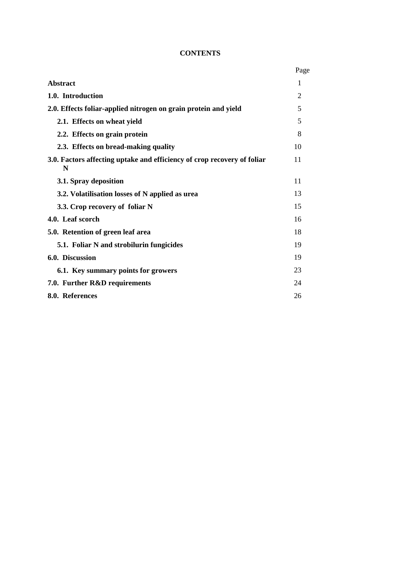# **CONTENTS**

|                                                                              | Page |
|------------------------------------------------------------------------------|------|
| <b>Abstract</b>                                                              | 1    |
| 1.0. Introduction                                                            | 2    |
| 2.0. Effects foliar-applied nitrogen on grain protein and yield              | 5    |
| 2.1. Effects on wheat yield                                                  | 5    |
| 2.2. Effects on grain protein                                                | 8    |
| 2.3. Effects on bread-making quality                                         | 10   |
| 3.0. Factors affecting uptake and efficiency of crop recovery of foliar<br>N | 11   |
| 3.1. Spray deposition                                                        | 11   |
| 3.2. Volatilisation losses of N applied as urea                              | 13   |
| 3.3. Crop recovery of foliar N                                               | 15   |
| 4.0. Leaf scorch                                                             | 16   |
| 5.0. Retention of green leaf area                                            | 18   |
| 5.1. Foliar N and strobilurin fungicides                                     | 19   |
| 6.0. Discussion                                                              | 19   |
| 6.1. Key summary points for growers                                          | 23   |
| 7.0. Further R&D requirements                                                | 24   |
| 8.0. References                                                              | 26   |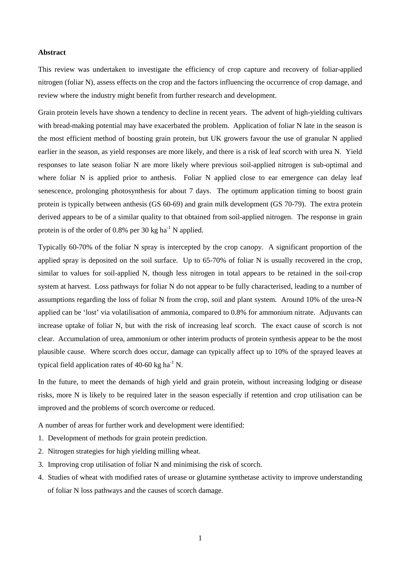#### **Abstract**

This review was undertaken to investigate the efficiency of crop capture and recovery of foliar-applied nitrogen (foliar N), assess effects on the crop and the factors influencing the occurrence of crop damage, and review where the industry might benefit from further research and development.

Grain protein levels have shown a tendency to decline in recent years. The advent of high-yielding cultivars with bread-making potential may have exacerbated the problem. Application of foliar N late in the season is the most efficient method of boosting grain protein, but UK growers favour the use of granular N applied earlier in the season, as yield responses are more likely, and there is a risk of leaf scorch with urea N. Yield responses to late season foliar N are more likely where previous soil-applied nitrogen is sub-optimal and where foliar N is applied prior to anthesis. Foliar N applied close to ear emergence can delay leaf senescence, prolonging photosynthesis for about 7 days. The optimum application timing to boost grain protein is typically between anthesis (GS 60-69) and grain milk development (GS 70-79). The extra protein derived appears to be of a similar quality to that obtained from soil-applied nitrogen. The response in grain protein is of the order of 0.8% per 30 kg ha<sup>-1</sup> N applied.

Typically 60-70% of the foliar N spray is intercepted by the crop canopy. A significant proportion of the applied spray is deposited on the soil surface. Up to 65-70% of foliar N is usually recovered in the crop, similar to values for soil-applied N, though less nitrogen in total appears to be retained in the soil-crop system at harvest. Loss pathways for foliar N do not appear to be fully characterised, leading to a number of assumptions regarding the loss of foliar N from the crop, soil and plant system. Around 10% of the urea-N applied can be 'lost' via volatilisation of ammonia, compared to 0.8% for ammonium nitrate. Adjuvants can increase uptake of foliar N, but with the risk of increasing leaf scorch. The exact cause of scorch is not clear. Accumulation of urea, ammonium or other interim products of protein synthesis appear to be the most plausible cause. Where scorch does occur, damage can typically affect up to 10% of the sprayed leaves at typical field application rates of 40-60 kg ha<sup>-1</sup> N.

In the future, to meet the demands of high yield and grain protein, without increasing lodging or disease risks, more N is likely to be required later in the season especially if retention and crop utilisation can be improved and the problems of scorch overcome or reduced.

A number of areas for further work and development were identified:

- 1. Development of methods for grain protein prediction.
- 2. Nitrogen strategies for high yielding milling wheat.
- 3. Improving crop utilisation of foliar N and minimising the risk of scorch.
- 4. Studies of wheat with modified rates of urease or glutamine synthetase activity to improve understanding of foliar N loss pathways and the causes of scorch damage.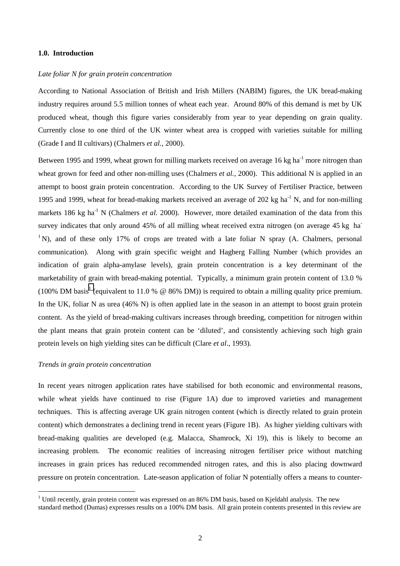#### **1.0. Introduction**

#### *Late foliar N for grain protein concentration*

According to National Association of British and Irish Millers (NABIM) figures, the UK bread-making industry requires around 5.5 million tonnes of wheat each year. Around 80% of this demand is met by UK produced wheat, though this figure varies considerably from year to year depending on grain quality. Currently close to one third of the UK winter wheat area is cropped with varieties suitable for milling (Grade I and II cultivars) (Chalmers *et al.,* 2000).

Between 1995 and 1999, wheat grown for milling markets received on average 16 kg ha<sup>-1</sup> more nitrogen than wheat grown for feed and other non-milling uses (Chalmers *et al.*, 2000). This additional N is applied in an attempt to boost grain protein concentration. According to the UK Survey of Fertiliser Practice, between 1995 and 1999, wheat for bread-making markets received an average of 202 kg ha<sup>-1</sup> N, and for non-milling markets 186 kg ha<sup>-1</sup> N (Chalmers *et al.* 2000). However, more detailed examination of the data from this survey indicates that only around 45% of all milling wheat received extra nitrogen (on average 45 kg ha- $1^{\circ}$ N), and of these only 17% of crops are treated with a late foliar N spray (A. Chalmers, personal communication). Along with grain specific weight and Hagberg Falling Number (which provides an indication of grain alpha-amylase levels), grain protein concentration is a key determinant of the marketability of grain with bread-making potential. Typically, a minimum grain protein content of 13.0 % (100% DM basis<sup>1</sup> (equivalent to 11.0 %  $\omega$  86% DM)) is required to obtain a milling quality price premium. In the UK, foliar N as urea (46% N) is often applied late in the season in an attempt to boost grain protein content. As the yield of bread-making cultivars increases through breeding, competition for nitrogen within the plant means that grain protein content can be 'diluted', and consistently achieving such high grain protein levels on high yielding sites can be difficult (Clare *et al*., 1993).

#### *Trends in grain protein concentration*

 $\overline{a}$ 

In recent years nitrogen application rates have stabilised for both economic and environmental reasons, while wheat yields have continued to rise (Figure 1A) due to improved varieties and management techniques. This is affecting average UK grain nitrogen content (which is directly related to grain protein content) which demonstrates a declining trend in recent years (Figure 1B). As higher yielding cultivars with bread-making qualities are developed (e.g. Malacca, Shamrock, Xi 19), this is likely to become an increasing problem. The economic realities of increasing nitrogen fertiliser price without matching increases in grain prices has reduced recommended nitrogen rates, and this is also placing downward pressure on protein concentration. Late-season application of foliar N potentially offers a means to counter-

 $1$  Until recently, grain protein content was expressed on an 86% DM basis, based on Kjeldahl analysis. The new standard method (Dumas) expresses results on a 100% DM basis. All grain protein contents presented in this review are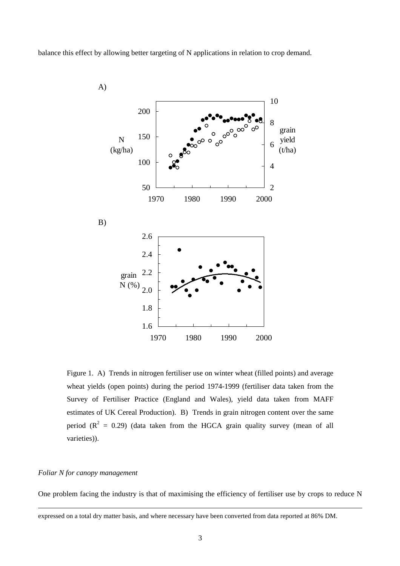balance this effect by allowing better targeting of N applications in relation to crop demand.



Figure 1. A) Trends in nitrogen fertiliser use on winter wheat (filled points) and average wheat yields (open points) during the period 1974-1999 (fertiliser data taken from the Survey of Fertiliser Practice (England and Wales), yield data taken from MAFF estimates of UK Cereal Production). B) Trends in grain nitrogen content over the same period ( $R^2 = 0.29$ ) (data taken from the HGCA grain quality survey (mean of all varieties)).

#### *Foliar N for canopy management*

 $\overline{a}$ 

One problem facing the industry is that of maximising the efficiency of fertiliser use by crops to reduce N

expressed on a total dry matter basis, and where necessary have been converted from data reported at 86% DM.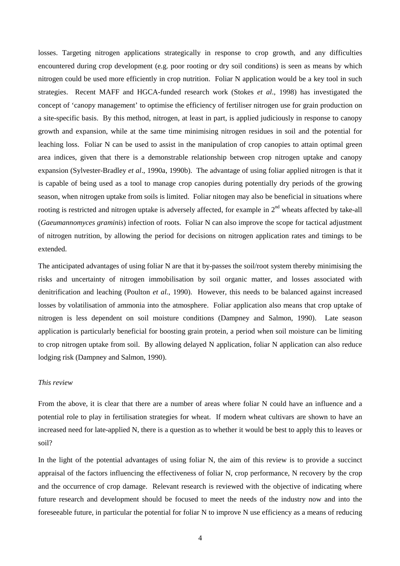losses. Targeting nitrogen applications strategically in response to crop growth, and any difficulties encountered during crop development (e.g. poor rooting or dry soil conditions) is seen as means by which nitrogen could be used more efficiently in crop nutrition. Foliar N application would be a key tool in such strategies. Recent MAFF and HGCA-funded research work (Stokes *et al*., 1998) has investigated the concept of 'canopy management' to optimise the efficiency of fertiliser nitrogen use for grain production on a site-specific basis. By this method, nitrogen, at least in part, is applied judiciously in response to canopy growth and expansion, while at the same time minimising nitrogen residues in soil and the potential for leaching loss. Foliar N can be used to assist in the manipulation of crop canopies to attain optimal green area indices, given that there is a demonstrable relationship between crop nitrogen uptake and canopy expansion (Sylvester-Bradley *et al*., 1990a, 1990b). The advantage of using foliar applied nitrogen is that it is capable of being used as a tool to manage crop canopies during potentially dry periods of the growing season, when nitrogen uptake from soils is limited. Foliar nitogen may also be beneficial in situations where rooting is restricted and nitrogen uptake is adversely affected, for example in  $2<sup>nd</sup>$  wheats affected by take-all (*Gaeumannomyces graminis*) infection of roots. Foliar N can also improve the scope for tactical adjustment of nitrogen nutrition, by allowing the period for decisions on nitrogen application rates and timings to be extended.

The anticipated advantages of using foliar N are that it by-passes the soil/root system thereby minimising the risks and uncertainty of nitrogen immobilisation by soil organic matter, and losses associated with denitrification and leaching (Poulton *et al.*, 1990). However, this needs to be balanced against increased losses by volatilisation of ammonia into the atmosphere. Foliar application also means that crop uptake of nitrogen is less dependent on soil moisture conditions (Dampney and Salmon, 1990). Late season application is particularly beneficial for boosting grain protein, a period when soil moisture can be limiting to crop nitrogen uptake from soil. By allowing delayed N application, foliar N application can also reduce lodging risk (Dampney and Salmon, 1990).

#### *This review*

From the above, it is clear that there are a number of areas where foliar N could have an influence and a potential role to play in fertilisation strategies for wheat. If modern wheat cultivars are shown to have an increased need for late-applied N, there is a question as to whether it would be best to apply this to leaves or soil?

In the light of the potential advantages of using foliar N, the aim of this review is to provide a succinct appraisal of the factors influencing the effectiveness of foliar N, crop performance, N recovery by the crop and the occurrence of crop damage. Relevant research is reviewed with the objective of indicating where future research and development should be focused to meet the needs of the industry now and into the foreseeable future, in particular the potential for foliar N to improve N use efficiency as a means of reducing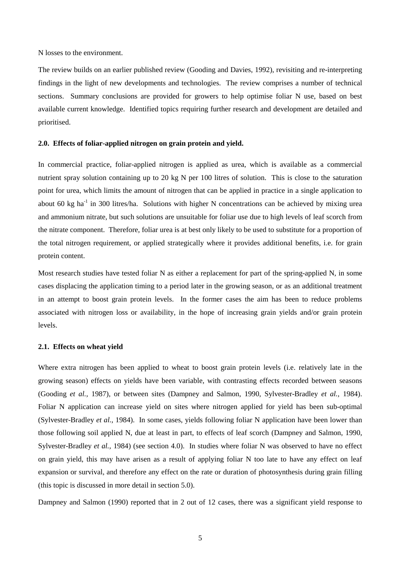N losses to the environment.

The review builds on an earlier published review (Gooding and Davies, 1992), revisiting and re-interpreting findings in the light of new developments and technologies. The review comprises a number of technical sections. Summary conclusions are provided for growers to help optimise foliar N use, based on best available current knowledge. Identified topics requiring further research and development are detailed and prioritised.

#### **2.0. Effects of foliar-applied nitrogen on grain protein and yield.**

In commercial practice, foliar-applied nitrogen is applied as urea, which is available as a commercial nutrient spray solution containing up to 20 kg N per 100 litres of solution. This is close to the saturation point for urea, which limits the amount of nitrogen that can be applied in practice in a single application to about 60 kg ha<sup>-1</sup> in 300 litres/ha. Solutions with higher N concentrations can be achieved by mixing urea and ammonium nitrate, but such solutions are unsuitable for foliar use due to high levels of leaf scorch from the nitrate component. Therefore, foliar urea is at best only likely to be used to substitute for a proportion of the total nitrogen requirement, or applied strategically where it provides additional benefits, i.e. for grain protein content.

Most research studies have tested foliar N as either a replacement for part of the spring-applied N, in some cases displacing the application timing to a period later in the growing season, or as an additional treatment in an attempt to boost grain protein levels. In the former cases the aim has been to reduce problems associated with nitrogen loss or availability, in the hope of increasing grain yields and/or grain protein levels.

#### **2.1. Effects on wheat yield**

Where extra nitrogen has been applied to wheat to boost grain protein levels (i.e. relatively late in the growing season) effects on yields have been variable, with contrasting effects recorded between seasons (Gooding *et al.,* 1987), or between sites (Dampney and Salmon, 1990, Sylvester-Bradley *et al.,* 1984). Foliar N application can increase yield on sites where nitrogen applied for yield has been sub-optimal (Sylvester-Bradley *et al.,* 1984). In some cases, yields following foliar N application have been lower than those following soil applied N, due at least in part, to effects of leaf scorch (Dampney and Salmon, 1990, Sylvester-Bradley *et al.,* 1984) (see section 4.0). In studies where foliar N was observed to have no effect on grain yield, this may have arisen as a result of applying foliar N too late to have any effect on leaf expansion or survival, and therefore any effect on the rate or duration of photosynthesis during grain filling (this topic is discussed in more detail in section 5.0).

Dampney and Salmon (1990) reported that in 2 out of 12 cases, there was a significant yield response to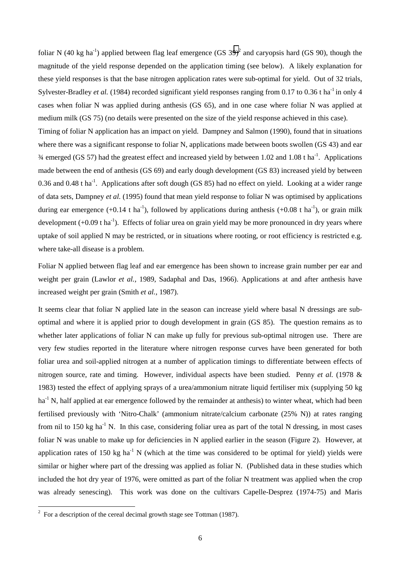foliar N (40 kg ha<sup>-1</sup>) applied between flag leaf emergence (GS 39)<sup>2</sup> and caryopsis hard (GS 90), though the magnitude of the yield response depended on the application timing (see below). A likely explanation for these yield responses is that the base nitrogen application rates were sub-optimal for yield. Out of 32 trials, Sylvester-Bradley *et al.* (1984) recorded significant yield responses ranging from 0.17 to 0.36 t ha<sup>-1</sup> in only 4 cases when foliar N was applied during anthesis (GS 65), and in one case where foliar N was applied at medium milk (GS 75) (no details were presented on the size of the yield response achieved in this case). Timing of foliar N application has an impact on yield. Dampney and Salmon (1990), found that in situations

where there was a significant response to foliar N, applications made between boots swollen (GS 43) and ear  $\frac{3}{4}$  emerged (GS 57) had the greatest effect and increased yield by between 1.02 and 1.08 t ha<sup>-1</sup>. Applications made between the end of anthesis (GS 69) and early dough development (GS 83) increased yield by between 0.36 and 0.48 t ha<sup>-1</sup>. Applications after soft dough (GS 85) had no effect on yield. Looking at a wider range of data sets, Dampney *et al.* (1995) found that mean yield response to foliar N was optimised by applications during ear emergence  $(+0.14 \text{ t} \text{ ha}^{-1})$ , followed by applications during anthesis  $(+0.08 \text{ t} \text{ ha}^{-1})$ , or grain milk development  $(+0.09 \text{ t ha}^{-1})$ . Effects of foliar urea on grain yield may be more pronounced in dry years where uptake of soil applied N may be restricted, or in situations where rooting, or root efficiency is restricted e.g. where take-all disease is a problem.

Foliar N applied between flag leaf and ear emergence has been shown to increase grain number per ear and weight per grain (Lawlor *et al.,* 1989, Sadaphal and Das, 1966). Applications at and after anthesis have increased weight per grain (Smith *et al.,* 1987).

It seems clear that foliar N applied late in the season can increase yield where basal N dressings are suboptimal and where it is applied prior to dough development in grain (GS 85). The question remains as to whether later applications of foliar N can make up fully for previous sub-optimal nitrogen use. There are very few studies reported in the literature where nitrogen response curves have been generated for both foliar urea and soil-applied nitrogen at a number of application timings to differentiate between effects of nitrogen source, rate and timing. However, individual aspects have been studied. Penny *et al.* (1978 & 1983) tested the effect of applying sprays of a urea/ammonium nitrate liquid fertiliser mix (supplying 50 kg ha<sup>-1</sup> N, half applied at ear emergence followed by the remainder at anthesis) to winter wheat, which had been fertilised previously with 'Nitro-Chalk' (ammonium nitrate/calcium carbonate (25% N)) at rates ranging from nil to 150 kg ha<sup>-1</sup> N. In this case, considering foliar urea as part of the total N dressing, in most cases foliar N was unable to make up for deficiencies in N applied earlier in the season (Figure 2). However, at application rates of 150 kg ha<sup>-1</sup> N (which at the time was considered to be optimal for yield) yields were similar or higher where part of the dressing was applied as foliar N. (Published data in these studies which included the hot dry year of 1976, were omitted as part of the foliar N treatment was applied when the crop was already senescing). This work was done on the cultivars Capelle-Desprez (1974-75) and Maris

<sup>&</sup>lt;sup>2</sup> For a description of the cereal decimal growth stage see Tottman (1987).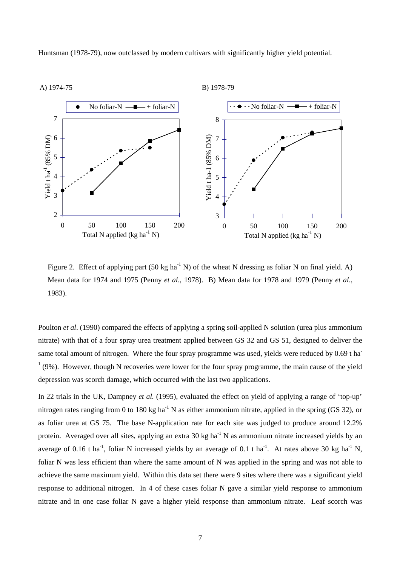Huntsman (1978-79), now outclassed by modern cultivars with significantly higher yield potential.



Figure 2. Effect of applying part (50 kg ha<sup>-1</sup> N) of the wheat N dressing as foliar N on final yield. A) Mean data for 1974 and 1975 (Penny *et al*., 1978). B) Mean data for 1978 and 1979 (Penny *et al*., 1983).

Poulton *et al*. (1990) compared the effects of applying a spring soil-applied N solution (urea plus ammonium nitrate) with that of a four spray urea treatment applied between GS 32 and GS 51, designed to deliver the same total amount of nitrogen. Where the four spray programme was used, yields were reduced by 0.69 t ha  $1(9%)$ . However, though N recoveries were lower for the four spray programme, the main cause of the yield depression was scorch damage, which occurred with the last two applications.

In 22 trials in the UK, Dampney *et al.* (1995), evaluated the effect on yield of applying a range of 'top-up' nitrogen rates ranging from 0 to 180 kg ha<sup>-1</sup> N as either ammonium nitrate, applied in the spring (GS 32), or as foliar urea at GS 75. The base N-application rate for each site was judged to produce around 12.2% protein. Averaged over all sites, applying an extra 30 kg ha<sup>-1</sup> N as ammonium nitrate increased yields by an average of 0.16 t ha<sup>-1</sup>, foliar N increased yields by an average of 0.1 t ha<sup>-1</sup>. At rates above 30 kg ha<sup>-1</sup> N, foliar N was less efficient than where the same amount of N was applied in the spring and was not able to achieve the same maximum yield. Within this data set there were 9 sites where there was a significant yield response to additional nitrogen. In 4 of these cases foliar N gave a similar yield response to ammonium nitrate and in one case foliar N gave a higher yield response than ammonium nitrate. Leaf scorch was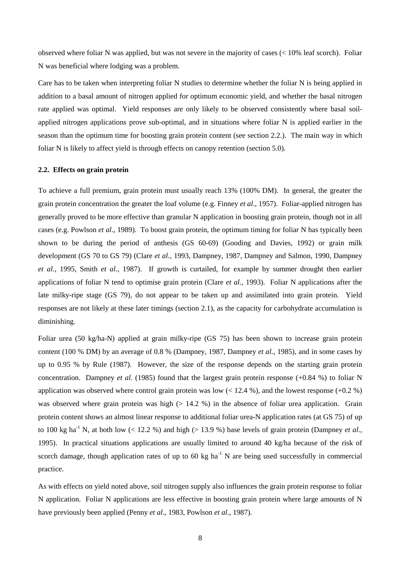observed where foliar N was applied, but was not severe in the majority of cases (< 10% leaf scorch). Foliar N was beneficial where lodging was a problem.

Care has to be taken when interpreting foliar N studies to determine whether the foliar N is being applied in addition to a basal amount of nitrogen applied for optimum economic yield, and whether the basal nitrogen rate applied was optimal. Yield responses are only likely to be observed consistently where basal soilapplied nitrogen applications prove sub-optimal, and in situations where foliar N is applied earlier in the season than the optimum time for boosting grain protein content (see section 2.2.). The main way in which foliar N is likely to affect yield is through effects on canopy retention (section 5.0).

#### **2.2. Effects on grain protein**

To achieve a full premium, grain protein must usually reach 13% (100% DM). In general, the greater the grain protein concentration the greater the loaf volume (e.g. Finney *et al*., 1957). Foliar-applied nitrogen has generally proved to be more effective than granular N application in boosting grain protein, though not in all cases (e.g. Powlson *et al*., 1989). To boost grain protein, the optimum timing for foliar N has typically been shown to be during the period of anthesis (GS 60-69) (Gooding and Davies, 1992) or grain milk development (GS 70 to GS 79) (Clare *et al.,* 1993, Dampney, 1987, Dampney and Salmon, 1990, Dampney *et al.,* 1995, Smith *et al.,* 1987). If growth is curtailed, for example by summer drought then earlier applications of foliar N tend to optimise grain protein (Clare *et al.,* 1993). Foliar N applications after the late milky-ripe stage (GS 79), do not appear to be taken up and assimilated into grain protein. Yield responses are not likely at these later timings (section 2.1), as the capacity for carbohydrate accumulation is diminishing.

Foliar urea (50 kg/ha-N) applied at grain milky-ripe (GS 75) has been shown to increase grain protein content (100 % DM) by an average of 0.8 % (Dampney, 1987, Dampney *et al.,* 1985), and in some cases by up to 0.95 % by Rule (1987). However, the size of the response depends on the starting grain protein concentration. Dampney *et al.* (1985) found that the largest grain protein response (+0.84 %) to foliar N application was observed where control grain protein was low  $(12.4 \%)$ , and the lowest response  $(+0.2 \%)$ was observed where grain protein was high  $(> 14.2 %)$  in the absence of foliar urea application. Grain protein content shows an almost linear response to additional foliar urea-N application rates (at GS 75) of up to 100 kg ha<sup>-1</sup> N, at both low  $(< 12.2 %$ ) and high  $(> 13.9 %)$  base levels of grain protein (Dampney *et al.*, 1995). In practical situations applications are usually limited to around 40 kg/ha because of the risk of scorch damage, though application rates of up to 60 kg ha<sup>-1</sup> N are being used successfully in commercial practice.

As with effects on yield noted above, soil nitrogen supply also influences the grain protein response to foliar N application. Foliar N applications are less effective in boosting grain protein where large amounts of N have previously been applied (Penny *et al*., 1983, Powlson *et al*., 1987).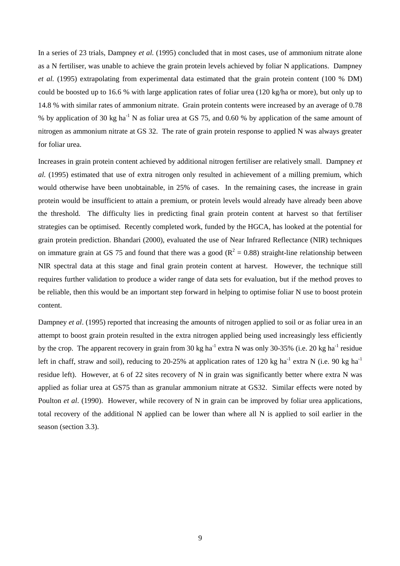In a series of 23 trials, Dampney *et al.* (1995) concluded that in most cases, use of ammonium nitrate alone as a N fertiliser, was unable to achieve the grain protein levels achieved by foliar N applications. Dampney *et al.* (1995) extrapolating from experimental data estimated that the grain protein content (100 % DM) could be boosted up to 16.6 % with large application rates of foliar urea (120 kg/ha or more), but only up to 14.8 % with similar rates of ammonium nitrate. Grain protein contents were increased by an average of 0.78 % by application of 30 kg ha<sup>-1</sup> N as foliar urea at GS 75, and 0.60 % by application of the same amount of nitrogen as ammonium nitrate at GS 32. The rate of grain protein response to applied N was always greater for foliar urea.

Increases in grain protein content achieved by additional nitrogen fertiliser are relatively small. Dampney *et al.* (1995) estimated that use of extra nitrogen only resulted in achievement of a milling premium, which would otherwise have been unobtainable, in 25% of cases. In the remaining cases, the increase in grain protein would be insufficient to attain a premium, or protein levels would already have already been above the threshold. The difficulty lies in predicting final grain protein content at harvest so that fertiliser strategies can be optimised. Recently completed work, funded by the HGCA, has looked at the potential for grain protein prediction. Bhandari (2000), evaluated the use of Near Infrared Reflectance (NIR) techniques on immature grain at GS 75 and found that there was a good ( $R^2 = 0.88$ ) straight-line relationship between NIR spectral data at this stage and final grain protein content at harvest. However, the technique still requires further validation to produce a wider range of data sets for evaluation, but if the method proves to be reliable, then this would be an important step forward in helping to optimise foliar N use to boost protein content.

Dampney *et al.* (1995) reported that increasing the amounts of nitrogen applied to soil or as foliar urea in an attempt to boost grain protein resulted in the extra nitrogen applied being used increasingly less efficiently by the crop. The apparent recovery in grain from 30 kg ha<sup>-1</sup> extra N was only 30-35% (i.e. 20 kg ha<sup>-1</sup> residue left in chaff, straw and soil), reducing to 20-25% at application rates of 120 kg ha<sup>-1</sup> extra N (i.e. 90 kg ha<sup>-1</sup> residue left). However, at 6 of 22 sites recovery of N in grain was significantly better where extra N was applied as foliar urea at GS75 than as granular ammonium nitrate at GS32. Similar effects were noted by Poulton *et al.* (1990). However, while recovery of N in grain can be improved by foliar urea applications, total recovery of the additional N applied can be lower than where all N is applied to soil earlier in the season (section 3.3).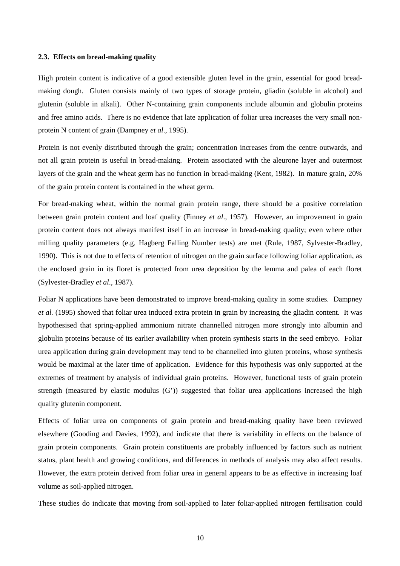#### **2.3. Effects on bread-making quality**

High protein content is indicative of a good extensible gluten level in the grain, essential for good breadmaking dough. Gluten consists mainly of two types of storage protein, gliadin (soluble in alcohol) and glutenin (soluble in alkali). Other N-containing grain components include albumin and globulin proteins and free amino acids. There is no evidence that late application of foliar urea increases the very small nonprotein N content of grain (Dampney *et al*., 1995).

Protein is not evenly distributed through the grain; concentration increases from the centre outwards, and not all grain protein is useful in bread-making. Protein associated with the aleurone layer and outermost layers of the grain and the wheat germ has no function in bread-making (Kent, 1982). In mature grain, 20% of the grain protein content is contained in the wheat germ.

For bread-making wheat, within the normal grain protein range, there should be a positive correlation between grain protein content and loaf quality (Finney *et al*., 1957). However, an improvement in grain protein content does not always manifest itself in an increase in bread-making quality; even where other milling quality parameters (e.g. Hagberg Falling Number tests) are met (Rule, 1987, Sylvester-Bradley, 1990). This is not due to effects of retention of nitrogen on the grain surface following foliar application, as the enclosed grain in its floret is protected from urea deposition by the lemma and palea of each floret (Sylvester-Bradley *et al*., 1987).

Foliar N applications have been demonstrated to improve bread-making quality in some studies. Dampney *et al.* (1995) showed that foliar urea induced extra protein in grain by increasing the gliadin content. It was hypothesised that spring-applied ammonium nitrate channelled nitrogen more strongly into albumin and globulin proteins because of its earlier availability when protein synthesis starts in the seed embryo. Foliar urea application during grain development may tend to be channelled into gluten proteins, whose synthesis would be maximal at the later time of application. Evidence for this hypothesis was only supported at the extremes of treatment by analysis of individual grain proteins. However, functional tests of grain protein strength (measured by elastic modulus (G')) suggested that foliar urea applications increased the high quality glutenin component.

Effects of foliar urea on components of grain protein and bread-making quality have been reviewed elsewhere (Gooding and Davies, 1992), and indicate that there is variability in effects on the balance of grain protein components. Grain protein constituents are probably influenced by factors such as nutrient status, plant health and growing conditions, and differences in methods of analysis may also affect results. However, the extra protein derived from foliar urea in general appears to be as effective in increasing loaf volume as soil-applied nitrogen.

These studies do indicate that moving from soil-applied to later foliar-applied nitrogen fertilisation could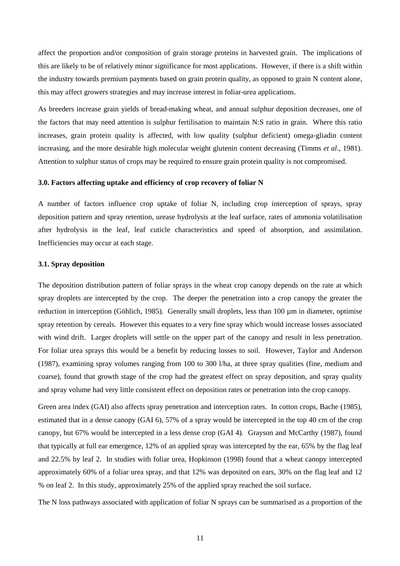affect the proportion and/or composition of grain storage proteins in harvested grain. The implications of this are likely to be of relatively minor significance for most applications. However, if there is a shift within the industry towards premium payments based on grain protein quality, as opposed to grain N content alone, this may affect growers strategies and may increase interest in foliar-urea applications.

As breeders increase grain yields of bread-making wheat, and annual sulphur deposition decreases, one of the factors that may need attention is sulphur fertilisation to maintain N:S ratio in grain. Where this ratio increases, grain protein quality is affected, with low quality (sulphur deficient) omega-gliadin content increasing, and the more desirable high molecular weight glutenin content decreasing (Timms *et al*., 1981). Attention to sulphur status of crops may be required to ensure grain protein quality is not compromised.

#### **3.0. Factors affecting uptake and efficiency of crop recovery of foliar N**

A number of factors influence crop uptake of foliar N, including crop interception of sprays, spray deposition pattern and spray retention, urease hydrolysis at the leaf surface, rates of ammonia volatilisation after hydrolysis in the leaf, leaf cuticle characteristics and speed of absorption, and assimilation. Inefficiencies may occur at each stage.

#### **3.1. Spray deposition**

The deposition distribution pattern of foliar sprays in the wheat crop canopy depends on the rate at which spray droplets are intercepted by the crop. The deeper the penetration into a crop canopy the greater the reduction in interception (Göhlich, 1985). Generally small droplets, less than 100  $\mu$ m in diameter, optimise spray retention by cereals. However this equates to a very fine spray which would increase losses associated with wind drift. Larger droplets will settle on the upper part of the canopy and result in less penetration. For foliar urea sprays this would be a benefit by reducing losses to soil. However, Taylor and Anderson (1987), examining spray volumes ranging from 100 to 300 l/ha, at three spray qualities (fine, medium and coarse), found that growth stage of the crop had the greatest effect on spray deposition, and spray quality and spray volume had very little consistent effect on deposition rates or penetration into the crop canopy.

Green area index (GAI) also affects spray penetration and interception rates. In cotton crops, Bache (1985), estimated that in a dense canopy (GAI 6), 57% of a spray would be intercepted in the top 40 cm of the crop canopy, but 67% would be intercepted in a less dense crop (GAI 4). Grayson and McCarthy (1987), found that typically at full ear emergence, 12% of an applied spray was intercepted by the ear, 65% by the flag leaf and 22.5% by leaf 2. In studies with foliar urea, Hopkinson (1998) found that a wheat canopy intercepted approximately 60% of a foliar urea spray, and that 12% was deposited on ears, 30% on the flag leaf and 12 % on leaf 2. In this study, approximately 25% of the applied spray reached the soil surface.

The N loss pathways associated with application of foliar N sprays can be summarised as a proportion of the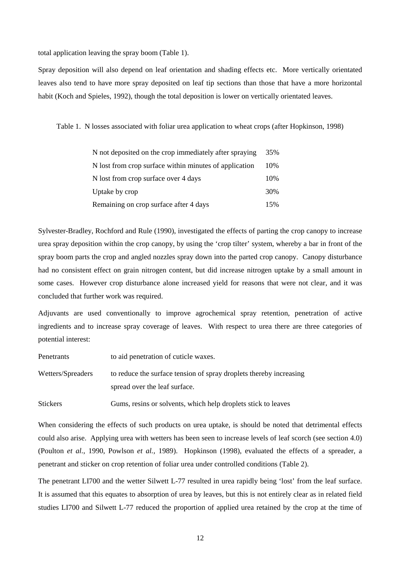total application leaving the spray boom (Table 1).

Spray deposition will also depend on leaf orientation and shading effects etc. More vertically orientated leaves also tend to have more spray deposited on leaf tip sections than those that have a more horizontal habit (Koch and Spieles, 1992), though the total deposition is lower on vertically orientated leaves.

Table 1. N losses associated with foliar urea application to wheat crops (after Hopkinson, 1998)

| N not deposited on the crop immediately after spraying | 35% |
|--------------------------------------------------------|-----|
| N lost from crop surface within minutes of application | 10% |
| N lost from crop surface over 4 days                   | 10% |
| Uptake by crop                                         | 30% |
| Remaining on crop surface after 4 days                 | 15% |

Sylvester-Bradley, Rochford and Rule (1990), investigated the effects of parting the crop canopy to increase urea spray deposition within the crop canopy, by using the 'crop tilter' system, whereby a bar in front of the spray boom parts the crop and angled nozzles spray down into the parted crop canopy. Canopy disturbance had no consistent effect on grain nitrogen content, but did increase nitrogen uptake by a small amount in some cases. However crop disturbance alone increased yield for reasons that were not clear, and it was concluded that further work was required.

Adjuvants are used conventionally to improve agrochemical spray retention, penetration of active ingredients and to increase spray coverage of leaves. With respect to urea there are three categories of potential interest:

Penetrants to aid penetration of cuticle waxes.

Wetters/Spreaders to reduce the surface tension of spray droplets thereby increasing spread over the leaf surface.

Stickers Gums, resins or solvents, which help droplets stick to leaves

When considering the effects of such products on urea uptake, is should be noted that detrimental effects could also arise. Applying urea with wetters has been seen to increase levels of leaf scorch (see section 4.0) (Poulton *et al.*, 1990, Powlson *et al.,* 1989). Hopkinson (1998), evaluated the effects of a spreader, a penetrant and sticker on crop retention of foliar urea under controlled conditions (Table 2).

The penetrant LI700 and the wetter Silwett L-77 resulted in urea rapidly being 'lost' from the leaf surface. It is assumed that this equates to absorption of urea by leaves, but this is not entirely clear as in related field studies LI700 and Silwett L-77 reduced the proportion of applied urea retained by the crop at the time of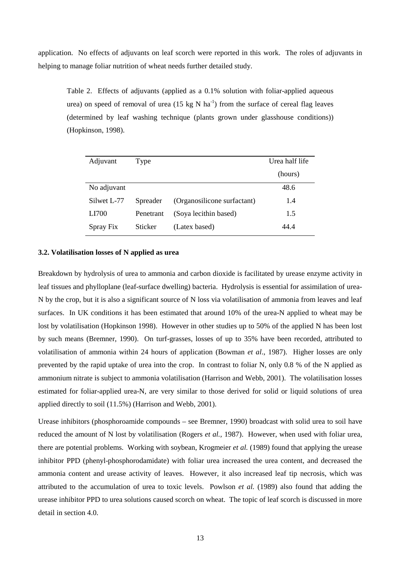application. No effects of adjuvants on leaf scorch were reported in this work. The roles of adjuvants in helping to manage foliar nutrition of wheat needs further detailed study.

Table 2. Effects of adjuvants (applied as a 0.1% solution with foliar-applied aqueous urea) on speed of removal of urea  $(15 \text{ kg N} \text{ ha}^{-1})$  from the surface of cereal flag leaves (determined by leaf washing technique (plants grown under glasshouse conditions)) (Hopkinson, 1998).

| Adjuvant    | Type      | Urea half life              |         |
|-------------|-----------|-----------------------------|---------|
|             |           |                             | (hours) |
| No adjuvant |           |                             | 48.6    |
| Silwet L-77 | Spreader  | (Organosilicone surfactant) | 1.4     |
| LI700       | Penetrant | (Soya lecithin based)       | 1.5     |
| Spray Fix   | Sticker   | (Latex based)               | 44 4    |

#### **3.2. Volatilisation losses of N applied as urea**

Breakdown by hydrolysis of urea to ammonia and carbon dioxide is facilitated by urease enzyme activity in leaf tissues and phylloplane (leaf-surface dwelling) bacteria. Hydrolysis is essential for assimilation of urea-N by the crop, but it is also a significant source of N loss via volatilisation of ammonia from leaves and leaf surfaces. In UK conditions it has been estimated that around 10% of the urea-N applied to wheat may be lost by volatilisation (Hopkinson 1998). However in other studies up to 50% of the applied N has been lost by such means (Bremner, 1990). On turf-grasses, losses of up to 35% have been recorded, attributed to volatilisation of ammonia within 24 hours of application (Bowman *et al*., 1987). Higher losses are only prevented by the rapid uptake of urea into the crop. In contrast to foliar N, only 0.8 % of the N applied as ammonium nitrate is subject to ammonia volatilisation (Harrison and Webb, 2001). The volatilisation losses estimated for foliar-applied urea-N, are very similar to those derived for solid or liquid solutions of urea applied directly to soil (11.5%) (Harrison and Webb, 2001).

Urease inhibitors (phosphoroamide compounds – see Bremner, 1990) broadcast with solid urea to soil have reduced the amount of N lost by volatilisation (Rogers *et al.,* 1987). However, when used with foliar urea, there are potential problems. Working with soybean, Krogmeier *et al.* (1989) found that applying the urease inhibitor PPD (phenyl-phosphorodamidate) with foliar urea increased the urea content, and decreased the ammonia content and urease activity of leaves. However, it also increased leaf tip necrosis, which was attributed to the accumulation of urea to toxic levels. Powlson *et al.* (1989) also found that adding the urease inhibitor PPD to urea solutions caused scorch on wheat. The topic of leaf scorch is discussed in more detail in section 4.0.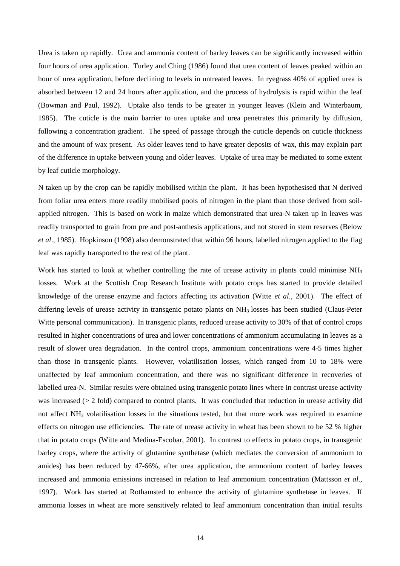Urea is taken up rapidly. Urea and ammonia content of barley leaves can be significantly increased within four hours of urea application. Turley and Ching (1986) found that urea content of leaves peaked within an hour of urea application, before declining to levels in untreated leaves. In ryegrass 40% of applied urea is absorbed between 12 and 24 hours after application, and the process of hydrolysis is rapid within the leaf (Bowman and Paul, 1992). Uptake also tends to be greater in younger leaves (Klein and Winterbaum, 1985). The cuticle is the main barrier to urea uptake and urea penetrates this primarily by diffusion, following a concentration gradient. The speed of passage through the cuticle depends on cuticle thickness and the amount of wax present. As older leaves tend to have greater deposits of wax, this may explain part of the difference in uptake between young and older leaves. Uptake of urea may be mediated to some extent by leaf cuticle morphology.

N taken up by the crop can be rapidly mobilised within the plant. It has been hypothesised that N derived from foliar urea enters more readily mobilised pools of nitrogen in the plant than those derived from soilapplied nitrogen. This is based on work in maize which demonstrated that urea-N taken up in leaves was readily transported to grain from pre and post-anthesis applications, and not stored in stem reserves (Below *et al*., 1985). Hopkinson (1998) also demonstrated that within 96 hours, labelled nitrogen applied to the flag leaf was rapidly transported to the rest of the plant.

Work has started to look at whether controlling the rate of urease activity in plants could minimise NH<sub>3</sub> losses. Work at the Scottish Crop Research Institute with potato crops has started to provide detailed knowledge of the urease enzyme and factors affecting its activation (Witte *et al*., 2001). The effect of differing levels of urease activity in transgenic potato plants on NH<sub>3</sub> losses has been studied (Claus-Peter Witte personal communication). In transgenic plants, reduced urease activity to 30% of that of control crops resulted in higher concentrations of urea and lower concentrations of ammonium accumulating in leaves as a result of slower urea degradation. In the control crops, ammonium concentrations were 4-5 times higher than those in transgenic plants. However, volatilisation losses, which ranged from 10 to 18% were unaffected by leaf ammonium concentration, and there was no significant difference in recoveries of labelled urea-N. Similar results were obtained using transgenic potato lines where in contrast urease activity was increased ( $> 2$  fold) compared to control plants. It was concluded that reduction in urease activity did not affect NH3 volatilisation losses in the situations tested, but that more work was required to examine effects on nitrogen use efficiencies. The rate of urease activity in wheat has been shown to be 52 % higher that in potato crops (Witte and Medina-Escobar, 2001). In contrast to effects in potato crops, in transgenic barley crops, where the activity of glutamine synthetase (which mediates the conversion of ammonium to amides) has been reduced by 47-66%, after urea application, the ammonium content of barley leaves increased and ammonia emissions increased in relation to leaf ammonium concentration (Mattsson *et al*., 1997). Work has started at Rothamsted to enhance the activity of glutamine synthetase in leaves. If ammonia losses in wheat are more sensitively related to leaf ammonium concentration than initial results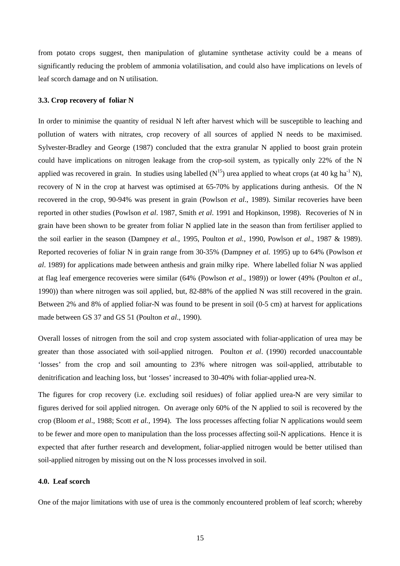from potato crops suggest, then manipulation of glutamine synthetase activity could be a means of significantly reducing the problem of ammonia volatilisation, and could also have implications on levels of leaf scorch damage and on N utilisation.

#### **3.3. Crop recovery of foliar N**

In order to minimise the quantity of residual N left after harvest which will be susceptible to leaching and pollution of waters with nitrates, crop recovery of all sources of applied N needs to be maximised. Sylvester-Bradley and George (1987) concluded that the extra granular N applied to boost grain protein could have implications on nitrogen leakage from the crop-soil system, as typically only 22% of the N applied was recovered in grain. In studies using labelled  $(N^{15})$  urea applied to wheat crops (at 40 kg ha<sup>-1</sup> N), recovery of N in the crop at harvest was optimised at 65-70% by applications during anthesis. Of the N recovered in the crop, 90-94% was present in grain (Powlson *et al*., 1989). Similar recoveries have been reported in other studies (Powlson *et al*. 1987, Smith *et al*. 1991 and Hopkinson, 1998). Recoveries of N in grain have been shown to be greater from foliar N applied late in the season than from fertiliser applied to the soil earlier in the season (Dampney *et al.*, 1995, Poulton *et al.,* 1990, Powlson *et al*., 1987 & 1989). Reported recoveries of foliar N in grain range from 30-35% (Dampney *et al.* 1995) up to 64% (Powlson *et al*. 1989) for applications made between anthesis and grain milky ripe. Where labelled foliar N was applied at flag leaf emergence recoveries were similar (64% (Powlson *et al*., 1989)) or lower (49% (Poulton *et al*., 1990)) than where nitrogen was soil applied, but, 82-88% of the applied N was still recovered in the grain. Between 2% and 8% of applied foliar-N was found to be present in soil (0-5 cm) at harvest for applications made between GS 37 and GS 51 (Poulton *et al*., 1990).

Overall losses of nitrogen from the soil and crop system associated with foliar-application of urea may be greater than those associated with soil-applied nitrogen. Poulton *et al*. (1990) recorded unaccountable 'losses' from the crop and soil amounting to 23% where nitrogen was soil-applied, attributable to denitrification and leaching loss, but 'losses' increased to 30-40% with foliar-applied urea-N.

The figures for crop recovery (i.e. excluding soil residues) of foliar applied urea-N are very similar to figures derived for soil applied nitrogen. On average only 60% of the N applied to soil is recovered by the crop (Bloom *et al*., 1988; Scott *et al.,* 1994). The loss processes affecting foliar N applications would seem to be fewer and more open to manipulation than the loss processes affecting soil-N applications. Hence it is expected that after further research and development, foliar-applied nitrogen would be better utilised than soil-applied nitrogen by missing out on the N loss processes involved in soil.

#### **4.0. Leaf scorch**

One of the major limitations with use of urea is the commonly encountered problem of leaf scorch; whereby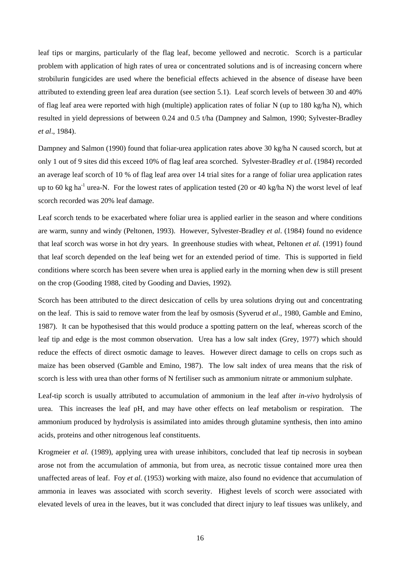leaf tips or margins, particularly of the flag leaf, become yellowed and necrotic. Scorch is a particular problem with application of high rates of urea or concentrated solutions and is of increasing concern where strobilurin fungicides are used where the beneficial effects achieved in the absence of disease have been attributed to extending green leaf area duration (see section 5.1). Leaf scorch levels of between 30 and 40% of flag leaf area were reported with high (multiple) application rates of foliar N (up to 180 kg/ha N), which resulted in yield depressions of between 0.24 and 0.5 t/ha (Dampney and Salmon, 1990; Sylvester-Bradley *et al*., 1984).

Dampney and Salmon (1990) found that foliar-urea application rates above 30 kg/ha N caused scorch, but at only 1 out of 9 sites did this exceed 10% of flag leaf area scorched. Sylvester-Bradley *et al*. (1984) recorded an average leaf scorch of 10 % of flag leaf area over 14 trial sites for a range of foliar urea application rates up to 60 kg ha<sup>-1</sup> urea-N. For the lowest rates of application tested (20 or 40 kg/ha N) the worst level of leaf scorch recorded was 20% leaf damage.

Leaf scorch tends to be exacerbated where foliar urea is applied earlier in the season and where conditions are warm, sunny and windy (Peltonen, 1993). However, Sylvester-Bradley *et al*. (1984) found no evidence that leaf scorch was worse in hot dry years. In greenhouse studies with wheat, Peltonen *et al.* (1991) found that leaf scorch depended on the leaf being wet for an extended period of time. This is supported in field conditions where scorch has been severe when urea is applied early in the morning when dew is still present on the crop (Gooding 1988, cited by Gooding and Davies, 1992).

Scorch has been attributed to the direct desiccation of cells by urea solutions drying out and concentrating on the leaf. This is said to remove water from the leaf by osmosis (Syverud *et al*., 1980, Gamble and Emino, 1987). It can be hypothesised that this would produce a spotting pattern on the leaf, whereas scorch of the leaf tip and edge is the most common observation. Urea has a low salt index (Grey, 1977) which should reduce the effects of direct osmotic damage to leaves. However direct damage to cells on crops such as maize has been observed (Gamble and Emino, 1987). The low salt index of urea means that the risk of scorch is less with urea than other forms of N fertiliser such as ammonium nitrate or ammonium sulphate.

Leaf-tip scorch is usually attributed to accumulation of ammonium in the leaf after *in-vivo* hydrolysis of urea. This increases the leaf pH, and may have other effects on leaf metabolism or respiration. The ammonium produced by hydrolysis is assimilated into amides through glutamine synthesis, then into amino acids, proteins and other nitrogenous leaf constituents.

Krogmeier *et al.* (1989), applying urea with urease inhibitors, concluded that leaf tip necrosis in soybean arose not from the accumulation of ammonia, but from urea, as necrotic tissue contained more urea then unaffected areas of leaf. Foy *et al.* (1953) working with maize, also found no evidence that accumulation of ammonia in leaves was associated with scorch severity. Highest levels of scorch were associated with elevated levels of urea in the leaves, but it was concluded that direct injury to leaf tissues was unlikely, and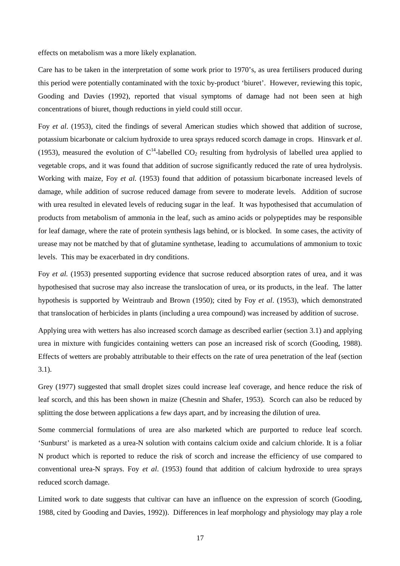effects on metabolism was a more likely explanation.

Care has to be taken in the interpretation of some work prior to 1970's, as urea fertilisers produced during this period were potentially contaminated with the toxic by-product 'biuret'. However, reviewing this topic, Gooding and Davies (1992), reported that visual symptoms of damage had not been seen at high concentrations of biuret, though reductions in yield could still occur.

Foy *et al*. (1953), cited the findings of several American studies which showed that addition of sucrose, potassium bicarbonate or calcium hydroxide to urea sprays reduced scorch damage in crops. Hinsvark *et al*. (1953), measured the evolution of  $C^{14}$ -labelled CO<sub>2</sub> resulting from hydrolysis of labelled urea applied to vegetable crops, and it was found that addition of sucrose significantly reduced the rate of urea hydrolysis. Working with maize, Foy *et al.* (1953) found that addition of potassium bicarbonate increased levels of damage, while addition of sucrose reduced damage from severe to moderate levels. Addition of sucrose with urea resulted in elevated levels of reducing sugar in the leaf. It was hypothesised that accumulation of products from metabolism of ammonia in the leaf, such as amino acids or polypeptides may be responsible for leaf damage, where the rate of protein synthesis lags behind, or is blocked. In some cases, the activity of urease may not be matched by that of glutamine synthetase, leading to accumulations of ammonium to toxic levels. This may be exacerbated in dry conditions.

Foy *et al.* (1953) presented supporting evidence that sucrose reduced absorption rates of urea, and it was hypothesised that sucrose may also increase the translocation of urea, or its products, in the leaf. The latter hypothesis is supported by Weintraub and Brown (1950); cited by Foy *et al*. (1953), which demonstrated that translocation of herbicides in plants (including a urea compound) was increased by addition of sucrose.

Applying urea with wetters has also increased scorch damage as described earlier (section 3.1) and applying urea in mixture with fungicides containing wetters can pose an increased risk of scorch (Gooding, 1988). Effects of wetters are probably attributable to their effects on the rate of urea penetration of the leaf (section 3.1).

Grey (1977) suggested that small droplet sizes could increase leaf coverage, and hence reduce the risk of leaf scorch, and this has been shown in maize (Chesnin and Shafer, 1953). Scorch can also be reduced by splitting the dose between applications a few days apart, and by increasing the dilution of urea.

Some commercial formulations of urea are also marketed which are purported to reduce leaf scorch. 'Sunburst' is marketed as a urea-N solution with contains calcium oxide and calcium chloride. It is a foliar N product which is reported to reduce the risk of scorch and increase the efficiency of use compared to conventional urea-N sprays. Foy *et al*. (1953) found that addition of calcium hydroxide to urea sprays reduced scorch damage.

Limited work to date suggests that cultivar can have an influence on the expression of scorch (Gooding, 1988, cited by Gooding and Davies, 1992)). Differences in leaf morphology and physiology may play a role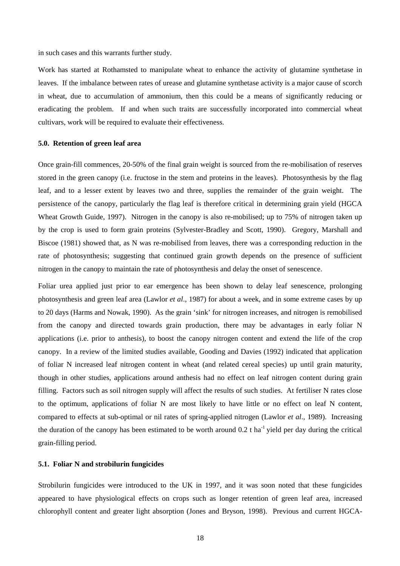in such cases and this warrants further study.

Work has started at Rothamsted to manipulate wheat to enhance the activity of glutamine synthetase in leaves. If the imbalance between rates of urease and glutamine synthetase activity is a major cause of scorch in wheat, due to accumulation of ammonium, then this could be a means of significantly reducing or eradicating the problem. If and when such traits are successfully incorporated into commercial wheat cultivars, work will be required to evaluate their effectiveness.

#### **5.0. Retention of green leaf area**

Once grain-fill commences, 20-50% of the final grain weight is sourced from the re-mobilisation of reserves stored in the green canopy (i.e. fructose in the stem and proteins in the leaves). Photosynthesis by the flag leaf, and to a lesser extent by leaves two and three, supplies the remainder of the grain weight. The persistence of the canopy, particularly the flag leaf is therefore critical in determining grain yield (HGCA Wheat Growth Guide, 1997). Nitrogen in the canopy is also re-mobilised; up to 75% of nitrogen taken up by the crop is used to form grain proteins (Sylvester-Bradley and Scott, 1990). Gregory, Marshall and Biscoe (1981) showed that, as N was re-mobilised from leaves, there was a corresponding reduction in the rate of photosynthesis; suggesting that continued grain growth depends on the presence of sufficient nitrogen in the canopy to maintain the rate of photosynthesis and delay the onset of senescence.

Foliar urea applied just prior to ear emergence has been shown to delay leaf senescence, prolonging photosynthesis and green leaf area (Lawlor *et al*., 1987) for about a week, and in some extreme cases by up to 20 days (Harms and Nowak, 1990). As the grain 'sink' for nitrogen increases, and nitrogen is remobilised from the canopy and directed towards grain production, there may be advantages in early foliar N applications (i.e. prior to anthesis), to boost the canopy nitrogen content and extend the life of the crop canopy. In a review of the limited studies available, Gooding and Davies (1992) indicated that application of foliar N increased leaf nitrogen content in wheat (and related cereal species) up until grain maturity, though in other studies, applications around anthesis had no effect on leaf nitrogen content during grain filling. Factors such as soil nitrogen supply will affect the results of such studies. At fertiliser N rates close to the optimum, applications of foliar N are most likely to have little or no effect on leaf N content, compared to effects at sub-optimal or nil rates of spring-applied nitrogen (Lawlor *et al*., 1989). Increasing the duration of the canopy has been estimated to be worth around  $0.2$  t ha<sup>-1</sup> yield per day during the critical grain-filling period.

#### **5.1. Foliar N and strobilurin fungicides**

Strobilurin fungicides were introduced to the UK in 1997, and it was soon noted that these fungicides appeared to have physiological effects on crops such as longer retention of green leaf area, increased chlorophyll content and greater light absorption (Jones and Bryson, 1998). Previous and current HGCA-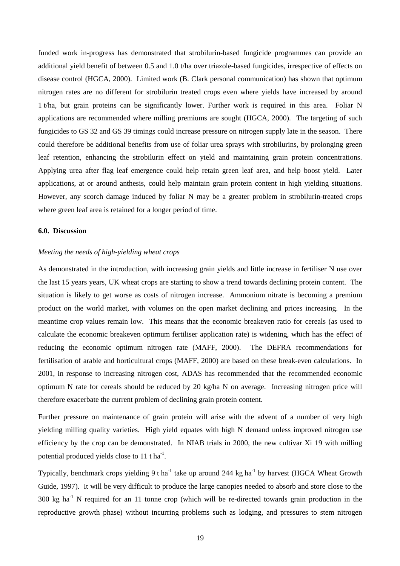funded work in-progress has demonstrated that strobilurin-based fungicide programmes can provide an additional yield benefit of between 0.5 and 1.0 t/ha over triazole-based fungicides, irrespective of effects on disease control (HGCA, 2000). Limited work (B. Clark personal communication) has shown that optimum nitrogen rates are no different for strobilurin treated crops even where yields have increased by around 1 t/ha, but grain proteins can be significantly lower. Further work is required in this area. Foliar N applications are recommended where milling premiums are sought (HGCA, 2000). The targeting of such fungicides to GS 32 and GS 39 timings could increase pressure on nitrogen supply late in the season. There could therefore be additional benefits from use of foliar urea sprays with strobilurins, by prolonging green leaf retention, enhancing the strobilurin effect on yield and maintaining grain protein concentrations. Applying urea after flag leaf emergence could help retain green leaf area, and help boost yield. Later applications, at or around anthesis, could help maintain grain protein content in high yielding situations. However, any scorch damage induced by foliar N may be a greater problem in strobilurin-treated crops where green leaf area is retained for a longer period of time.

#### **6.0. Discussion**

#### *Meeting the needs of high-yielding wheat crops*

As demonstrated in the introduction, with increasing grain yields and little increase in fertiliser N use over the last 15 years years, UK wheat crops are starting to show a trend towards declining protein content. The situation is likely to get worse as costs of nitrogen increase. Ammonium nitrate is becoming a premium product on the world market, with volumes on the open market declining and prices increasing. In the meantime crop values remain low. This means that the economic breakeven ratio for cereals (as used to calculate the economic breakeven optimum fertiliser application rate) is widening, which has the effect of reducing the economic optimum nitrogen rate (MAFF, 2000). The DEFRA recommendations for fertilisation of arable and horticultural crops (MAFF, 2000) are based on these break-even calculations. In 2001, in response to increasing nitrogen cost, ADAS has recommended that the recommended economic optimum N rate for cereals should be reduced by 20 kg/ha N on average. Increasing nitrogen price will therefore exacerbate the current problem of declining grain protein content.

Further pressure on maintenance of grain protein will arise with the advent of a number of very high yielding milling quality varieties. High yield equates with high N demand unless improved nitrogen use efficiency by the crop can be demonstrated. In NIAB trials in 2000, the new cultivar Xi 19 with milling potential produced yields close to 11 t ha<sup>-1</sup>.

Typically, benchmark crops yielding 9 t ha<sup>-1</sup> take up around 244 kg ha<sup>-1</sup> by harvest (HGCA Wheat Growth Guide, 1997). It will be very difficult to produce the large canopies needed to absorb and store close to the  $300 \text{ kg}$  ha<sup>-1</sup> N required for an 11 tonne crop (which will be re-directed towards grain production in the reproductive growth phase) without incurring problems such as lodging, and pressures to stem nitrogen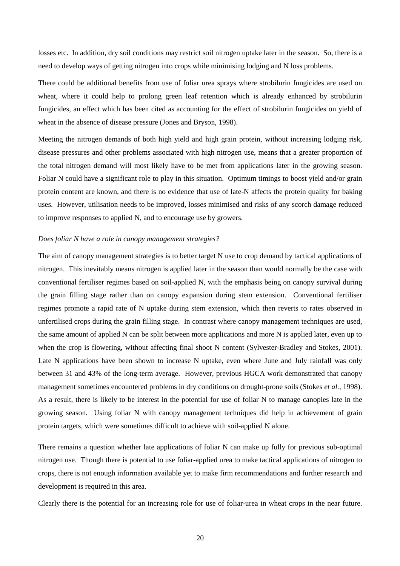losses etc. In addition, dry soil conditions may restrict soil nitrogen uptake later in the season. So, there is a need to develop ways of getting nitrogen into crops while minimising lodging and N loss problems.

There could be additional benefits from use of foliar urea sprays where strobilurin fungicides are used on wheat, where it could help to prolong green leaf retention which is already enhanced by strobilurin fungicides, an effect which has been cited as accounting for the effect of strobilurin fungicides on yield of wheat in the absence of disease pressure (Jones and Bryson, 1998).

Meeting the nitrogen demands of both high yield and high grain protein, without increasing lodging risk, disease pressures and other problems associated with high nitrogen use, means that a greater proportion of the total nitrogen demand will most likely have to be met from applications later in the growing season. Foliar N could have a significant role to play in this situation. Optimum timings to boost yield and/or grain protein content are known, and there is no evidence that use of late-N affects the protein quality for baking uses. However, utilisation needs to be improved, losses minimised and risks of any scorch damage reduced to improve responses to applied N, and to encourage use by growers.

#### *Does foliar N have a role in canopy management strategies?*

The aim of canopy management strategies is to better target N use to crop demand by tactical applications of nitrogen. This inevitably means nitrogen is applied later in the season than would normally be the case with conventional fertiliser regimes based on soil-applied N, with the emphasis being on canopy survival during the grain filling stage rather than on canopy expansion during stem extension. Conventional fertiliser regimes promote a rapid rate of N uptake during stem extension, which then reverts to rates observed in unfertilised crops during the grain filling stage. In contrast where canopy management techniques are used, the same amount of applied N can be split between more applications and more N is applied later, even up to when the crop is flowering, without affecting final shoot N content (Sylvester-Bradley and Stokes, 2001). Late N applications have been shown to increase N uptake, even where June and July rainfall was only between 31 and 43% of the long-term average. However, previous HGCA work demonstrated that canopy management sometimes encountered problems in dry conditions on drought-prone soils (Stokes *et al.*, 1998). As a result, there is likely to be interest in the potential for use of foliar N to manage canopies late in the growing season. Using foliar N with canopy management techniques did help in achievement of grain protein targets, which were sometimes difficult to achieve with soil-applied N alone.

There remains a question whether late applications of foliar N can make up fully for previous sub-optimal nitrogen use. Though there is potential to use foliar-applied urea to make tactical applications of nitrogen to crops, there is not enough information available yet to make firm recommendations and further research and development is required in this area.

Clearly there is the potential for an increasing role for use of foliar-urea in wheat crops in the near future.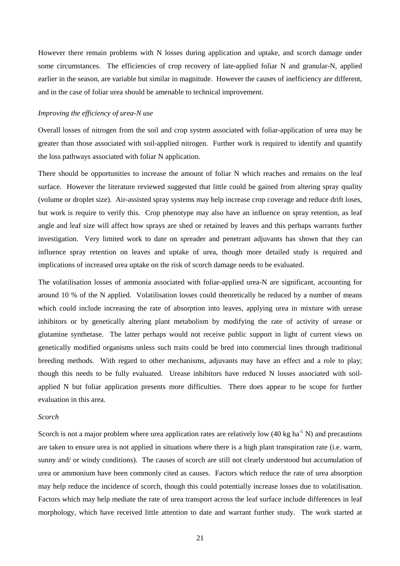However there remain problems with N losses during application and uptake, and scorch damage under some circumstances. The efficiencies of crop recovery of late-applied foliar N and granular-N, applied earlier in the season, are variable but similar in magnitude. However the causes of inefficiency are different, and in the case of foliar urea should be amenable to technical improvement.

#### *Improving the efficiency of urea-N use*

Overall losses of nitrogen from the soil and crop system associated with foliar-application of urea may be greater than those associated with soil-applied nitrogen. Further work is required to identify and quantify the loss pathways associated with foliar N application.

There should be opportunities to increase the amount of foliar N which reaches and remains on the leaf surface. However the literature reviewed suggested that little could be gained from altering spray quality (volume or droplet size). Air-assisted spray systems may help increase crop coverage and reduce drift loses, but work is require to verify this. Crop phenotype may also have an influence on spray retention, as leaf angle and leaf size will affect how sprays are shed or retained by leaves and this perhaps warrants further investigation. Very limited work to date on spreader and penetrant adjuvants has shown that they can influence spray retention on leaves and uptake of urea, though more detailed study is required and implications of increased urea uptake on the risk of scorch damage needs to be evaluated.

The volatilisation losses of ammonia associated with foliar-applied urea-N are significant, accounting for around 10 % of the N applied. Volatilisation losses could theoretically be reduced by a number of means which could include increasing the rate of absorption into leaves, applying urea in mixture with urease inhibitors or by genetically altering plant metabolism by modifying the rate of activity of urease or glutamine synthetase. The latter perhaps would not receive public support in light of current views on genetically modified organisms unless such traits could be bred into commercial lines through traditional breeding methods. With regard to other mechanisms, adjuvants may have an effect and a role to play; though this needs to be fully evaluated. Urease inhibitors have reduced N losses associated with soilapplied N but foliar application presents more difficulties. There does appear to be scope for further evaluation in this area.

#### *Scorch*

Scorch is not a major problem where urea application rates are relatively low  $(40 \text{ kg ha}^{-1} \text{ N})$  and precautions are taken to ensure urea is not applied in situations where there is a high plant transpiration rate (i.e. warm, sunny and/ or windy conditions). The causes of scorch are still not clearly understood but accumulation of urea or ammonium have been commonly cited as causes. Factors which reduce the rate of urea absorption may help reduce the incidence of scorch, though this could potentially increase losses due to volatilisation. Factors which may help mediate the rate of urea transport across the leaf surface include differences in leaf morphology, which have received little attention to date and warrant further study. The work started at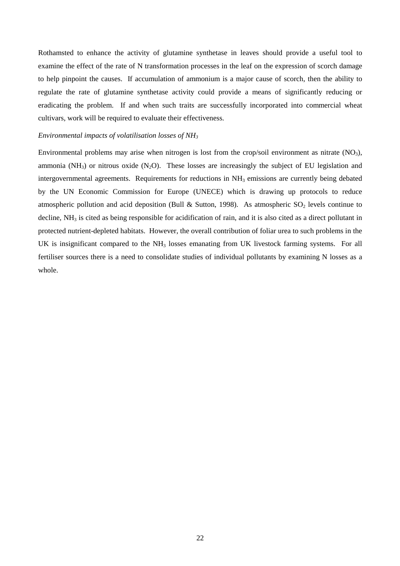Rothamsted to enhance the activity of glutamine synthetase in leaves should provide a useful tool to examine the effect of the rate of N transformation processes in the leaf on the expression of scorch damage to help pinpoint the causes. If accumulation of ammonium is a major cause of scorch, then the ability to regulate the rate of glutamine synthetase activity could provide a means of significantly reducing or eradicating the problem. If and when such traits are successfully incorporated into commercial wheat cultivars, work will be required to evaluate their effectiveness.

#### *Environmental impacts of volatilisation losses of NH3*

Environmental problems may arise when nitrogen is lost from the crop/soil environment as nitrate  $(NO_3)$ , ammonia (NH<sub>3</sub>) or nitrous oxide (N<sub>2</sub>O). These losses are increasingly the subject of EU legislation and intergovernmental agreements. Requirements for reductions in NH<sub>3</sub> emissions are currently being debated by the UN Economic Commission for Europe (UNECE) which is drawing up protocols to reduce atmospheric pollution and acid deposition (Bull & Sutton, 1998). As atmospheric  $SO_2$  levels continue to decline, NH<sub>3</sub> is cited as being responsible for acidification of rain, and it is also cited as a direct pollutant in protected nutrient-depleted habitats. However, the overall contribution of foliar urea to such problems in the UK is insignificant compared to the NH<sub>3</sub> losses emanating from UK livestock farming systems. For all fertiliser sources there is a need to consolidate studies of individual pollutants by examining N losses as a whole.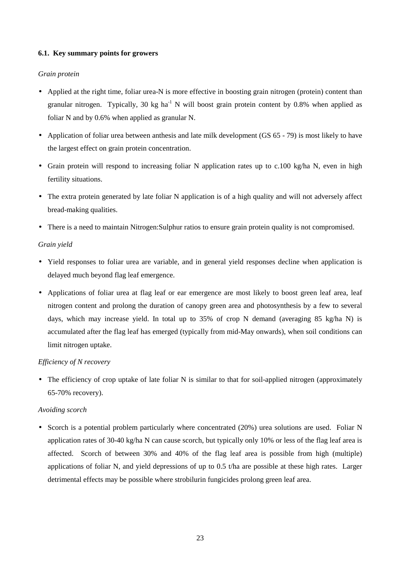### **6.1. Key summary points for growers**

### *Grain protein*

- Applied at the right time, foliar urea-N is more effective in boosting grain nitrogen (protein) content than granular nitrogen. Typically, 30 kg ha<sup>-1</sup> N will boost grain protein content by 0.8% when applied as foliar N and by 0.6% when applied as granular N.
- Application of foliar urea between anthesis and late milk development (GS 65 79) is most likely to have the largest effect on grain protein concentration.
- Grain protein will respond to increasing foliar N application rates up to c.100 kg/ha N, even in high fertility situations.
- The extra protein generated by late foliar N application is of a high quality and will not adversely affect bread-making qualities.
- There is a need to maintain Nitrogen: Sulphur ratios to ensure grain protein quality is not compromised.

## *Grain yield*

- Yield responses to foliar urea are variable, and in general yield responses decline when application is delayed much beyond flag leaf emergence.
- Applications of foliar urea at flag leaf or ear emergence are most likely to boost green leaf area, leaf nitrogen content and prolong the duration of canopy green area and photosynthesis by a few to several days, which may increase yield. In total up to 35% of crop N demand (averaging 85 kg/ha N) is accumulated after the flag leaf has emerged (typically from mid-May onwards), when soil conditions can limit nitrogen uptake.

## *Efficiency of N recovery*

• The efficiency of crop uptake of late foliar N is similar to that for soil-applied nitrogen (approximately 65-70% recovery).

#### *Avoiding scorch*

• Scorch is a potential problem particularly where concentrated (20%) urea solutions are used. Foliar N application rates of 30-40 kg/ha N can cause scorch, but typically only 10% or less of the flag leaf area is affected. Scorch of between 30% and 40% of the flag leaf area is possible from high (multiple) applications of foliar N, and yield depressions of up to 0.5 t/ha are possible at these high rates. Larger detrimental effects may be possible where strobilurin fungicides prolong green leaf area.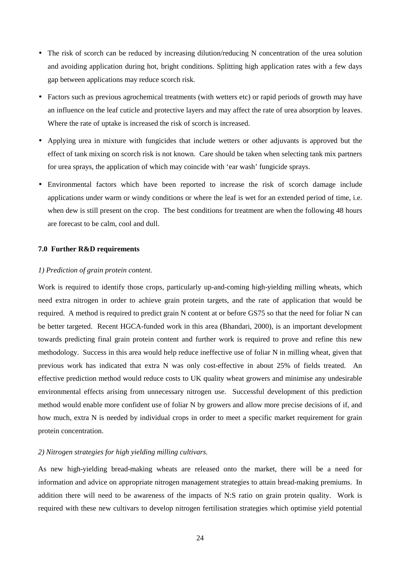- The risk of scorch can be reduced by increasing dilution/reducing N concentration of the urea solution and avoiding application during hot, bright conditions. Splitting high application rates with a few days gap between applications may reduce scorch risk.
- Factors such as previous agrochemical treatments (with wetters etc) or rapid periods of growth may have an influence on the leaf cuticle and protective layers and may affect the rate of urea absorption by leaves. Where the rate of uptake is increased the risk of scorch is increased.
- Applying urea in mixture with fungicides that include wetters or other adjuvants is approved but the effect of tank mixing on scorch risk is not known. Care should be taken when selecting tank mix partners for urea sprays, the application of which may coincide with 'ear wash' fungicide sprays.
- Environmental factors which have been reported to increase the risk of scorch damage include applications under warm or windy conditions or where the leaf is wet for an extended period of time, i.e. when dew is still present on the crop. The best conditions for treatment are when the following 48 hours are forecast to be calm, cool and dull.

#### **7.0 Further R&D requirements**

#### *1) Prediction of grain protein content.*

Work is required to identify those crops, particularly up-and-coming high-yielding milling wheats, which need extra nitrogen in order to achieve grain protein targets, and the rate of application that would be required. A method is required to predict grain N content at or before GS75 so that the need for foliar N can be better targeted. Recent HGCA-funded work in this area (Bhandari, 2000), is an important development towards predicting final grain protein content and further work is required to prove and refine this new methodology. Success in this area would help reduce ineffective use of foliar N in milling wheat, given that previous work has indicated that extra N was only cost-effective in about 25% of fields treated. An effective prediction method would reduce costs to UK quality wheat growers and minimise any undesirable environmental effects arising from unnecessary nitrogen use. Successful development of this prediction method would enable more confident use of foliar N by growers and allow more precise decisions of if, and how much, extra N is needed by individual crops in order to meet a specific market requirement for grain protein concentration.

#### *2) Nitrogen strategies for high yielding milling cultivars.*

As new high-yielding bread-making wheats are released onto the market, there will be a need for information and advice on appropriate nitrogen management strategies to attain bread-making premiums. In addition there will need to be awareness of the impacts of N:S ratio on grain protein quality. Work is required with these new cultivars to develop nitrogen fertilisation strategies which optimise yield potential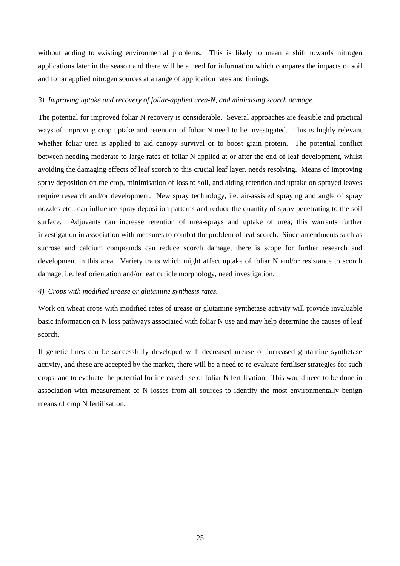without adding to existing environmental problems. This is likely to mean a shift towards nitrogen applications later in the season and there will be a need for information which compares the impacts of soil and foliar applied nitrogen sources at a range of application rates and timings.

#### *3) Improving uptake and recovery of foliar-applied urea-N, and minimising scorch damage.*

The potential for improved foliar N recovery is considerable. Several approaches are feasible and practical ways of improving crop uptake and retention of foliar N need to be investigated. This is highly relevant whether foliar urea is applied to aid canopy survival or to boost grain protein. The potential conflict between needing moderate to large rates of foliar N applied at or after the end of leaf development, whilst avoiding the damaging effects of leaf scorch to this crucial leaf layer, needs resolving. Means of improving spray deposition on the crop, minimisation of loss to soil, and aiding retention and uptake on sprayed leaves require research and/or development. New spray technology, i.e. air-assisted spraying and angle of spray nozzles etc., can influence spray deposition patterns and reduce the quantity of spray penetrating to the soil surface. Adjuvants can increase retention of urea-sprays and uptake of urea; this warrants further investigation in association with measures to combat the problem of leaf scorch. Since amendments such as sucrose and calcium compounds can reduce scorch damage, there is scope for further research and development in this area. Variety traits which might affect uptake of foliar N and/or resistance to scorch damage, i.e. leaf orientation and/or leaf cuticle morphology, need investigation.

### *4) Crops with modified urease or glutamine synthesis rates.*

Work on wheat crops with modified rates of urease or glutamine synthetase activity will provide invaluable basic information on N loss pathways associated with foliar N use and may help determine the causes of leaf scorch.

If genetic lines can be successfully developed with decreased urease or increased glutamine synthetase activity, and these are accepted by the market, there will be a need to re-evaluate fertiliser strategies for such crops, and to evaluate the potential for increased use of foliar N fertilisation. This would need to be done in association with measurement of N losses from all sources to identify the most environmentally benign means of crop N fertilisation.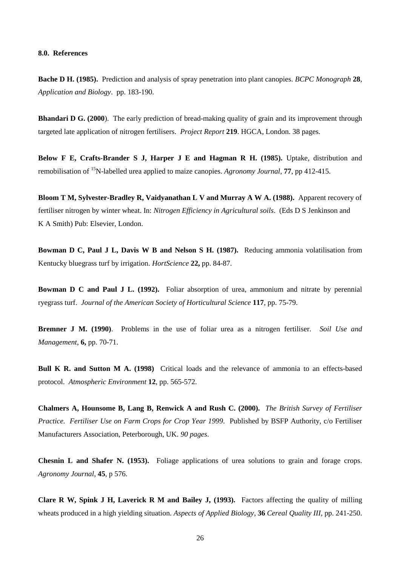#### **8.0. References**

**Bache D H. (1985).** Prediction and analysis of spray penetration into plant canopies. *BCPC Monograph* **28***, Application and Biology*. pp. 183-190.

**Bhandari D G. (2000**). The early prediction of bread-making quality of grain and its improvement through targeted late application of nitrogen fertilisers. *Project Report* **219**. HGCA, London. 38 pages.

**Below F E, Crafts-Brander S J, Harper J E and Hagman R H. (1985).** Uptake, distribution and remobilisation of 15N-labelled urea applied to maize canopies. *Agronomy Journal*, **77**, pp 412-415.

**Bloom T M, Sylvester-Bradley R, Vaidyanathan L V and Murray A W A. (1988).** Apparent recovery of fertiliser nitrogen by winter wheat. In: *Nitrogen Efficiency in Agricultural soils*. (Eds D S Jenkinson and K A Smith) Pub: Elsevier, London.

**Bowman D C, Paul J L, Davis W B and Nelson S H. (1987).** Reducing ammonia volatilisation from Kentucky bluegrass turf by irrigation. *HortScience* **22,** pp. 84-87.

**Bowman D C and Paul J L. (1992).** Foliar absorption of urea, ammonium and nitrate by perennial ryegrass turf. *Journal of the American Society of Horticultural Science* **117**, pp. 75-79.

**Bremner J M. (1990)**. Problems in the use of foliar urea as a nitrogen fertiliser. *Soil Use and Management*, **6,** pp. 70-71.

**Bull K R. and Sutton M A. (1998)** Critical loads and the relevance of ammonia to an effects-based protocol. *Atmospheric Environment* **12**, pp. 565-572.

**Chalmers A, Hounsome B, Lang B, Renwick A and Rush C. (2000).** *The British Survey of Fertiliser Practice. Fertiliser Use on Farm Crops for Crop Year 1999*. Published by BSFP Authority, c/o Fertiliser Manufacturers Association, Peterborough, UK. *90 pages*.

**Chesnin L and Shafer N. (1953).** Foliage applications of urea solutions to grain and forage crops. *Agronomy Journal*, **45**, p 576.

**Clare R W, Spink J H, Laverick R M and Bailey J, (1993).** Factors affecting the quality of milling wheats produced in a high yielding situation. *Aspects of Applied Biology*, **36** *Cereal Quality III,* pp. 241-250.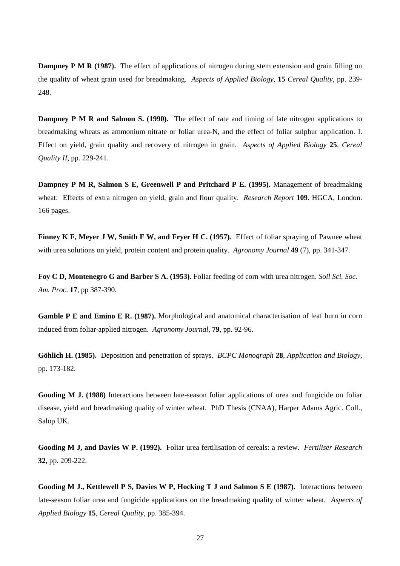**Dampney P M R (1987).** The effect of applications of nitrogen during stem extension and grain filling on the quality of wheat grain used for breadmaking. *Aspects of Applied Biology*, **15** *Cereal Quality*, pp. 239- 248.

**Dampney P M R and Salmon S. (1990).** The effect of rate and timing of late nitrogen applications to breadmaking wheats as ammonium nitrate or foliar urea-N, and the effect of foliar sulphur application. I. Effect on yield, grain quality and recovery of nitrogen in grain. *Aspects of Applied Biology* **25***, Cereal Quality II*, pp. 229-241.

**Dampney P M R, Salmon S E, Greenwell P and Pritchard P E. (1995).** Management of breadmaking wheat: Effects of extra nitrogen on yield, grain and flour quality. *Research Report* **109**. HGCA, London. 166 pages.

**Finney K F, Meyer J W, Smith F W, and Fryer H C. (1957).** Effect of foliar spraying of Pawnee wheat with urea solutions on yield, protein content and protein quality. *Agronomy Journal* **49** (7), pp. 341-347.

**Foy C D, Montenegro G and Barber S A. (1953).** Foliar feeding of corn with urea nitrogen. *Soil Sci. Soc. Am. Proc*. **17**, pp 387-390.

**Gamble P E and Emino E R. (1987).** Morphological and anatomical characterisation of leaf burn in corn induced from foliar-applied nitrogen. *Agronomy Journal*, **79**, pp. 92-96.

**Göhlich H. (1985).** Deposition and penetration of sprays. *BCPC Monograph* **28***, Application and Biology*, pp. 173-182.

**Gooding M J. (1988)** Interactions between late-season foliar applications of urea and fungicide on foliar disease, yield and breadmaking quality of winter wheat. PhD Thesis (CNAA), Harper Adams Agric. Coll., Salop UK.

**Gooding M J, and Davies W P. (1992).** Foliar urea fertilisation of cereals: a review. *Fertiliser Research* **32**, pp. 209-222.

**Gooding M J., Kettlewell P S, Davies W P, Hocking T J and Salmon S E (1987).** Interactions between late-season foliar urea and fungicide applications on the breadmaking quality of winter wheat*. Aspects of Applied Biology* **15***, Cereal Quality*, pp. 385-394.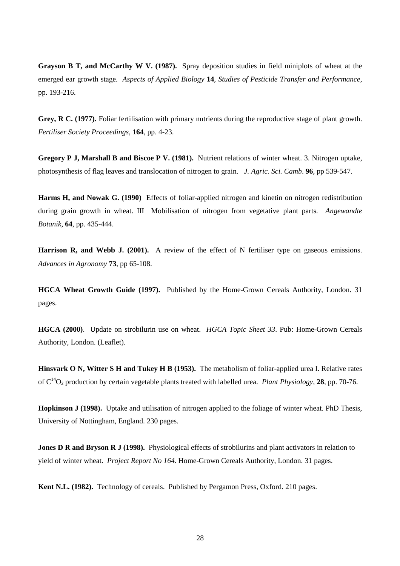**Grayson B T, and McCarthy W V. (1987).** Spray deposition studies in field miniplots of wheat at the emerged ear growth stage*. Aspects of Applied Biology* **14***, Studies of Pesticide Transfer and Performance*, pp. 193-216.

**Grey, R C. (1977).** Foliar fertilisation with primary nutrients during the reproductive stage of plant growth. *Fertiliser Society Proceedings*, **164**, pp. 4-23.

**Gregory P J, Marshall B and Biscoe P V. (1981).** Nutrient relations of winter wheat. 3. Nitrogen uptake, photosynthesis of flag leaves and translocation of nitrogen to grain. *J. Agric. Sci. Camb*. **96**, pp 539-547.

**Harms H, and Nowak G. (1990)** Effects of foliar-applied nitrogen and kinetin on nitrogen redistribution during grain growth in wheat. III Mobilisation of nitrogen from vegetative plant parts*. Angewandte Botanik*, **64**, pp. 435-444.

**Harrison R, and Webb J. (2001).** A review of the effect of N fertiliser type on gaseous emissions. *Advances in Agronomy* **73**, pp 65-108.

**HGCA Wheat Growth Guide (1997).** Published by the Home-Grown Cereals Authority, London. 31 pages.

**HGCA (2000)**. Update on strobilurin use on wheat. *HGCA Topic Sheet 33*. Pub: Home-Grown Cereals Authority, London. (Leaflet).

**Hinsvark O N, Witter S H and Tukey H B (1953).** The metabolism of foliar-applied urea I. Relative rates of  $C^{14}O_2$  production by certain vegetable plants treated with labelled urea. *Plant Physiology*, **28**, pp. 70-76.

**Hopkinson J (1998).** Uptake and utilisation of nitrogen applied to the foliage of winter wheat. PhD Thesis, University of Nottingham, England. 230 pages.

**Jones D R and Bryson R J (1998).** Physiological effects of strobilurins and plant activators in relation to yield of winter wheat. *Project Report No 164*. Home-Grown Cereals Authority, London. 31 pages.

**Kent N.L. (1982).** Technology of cereals. Published by Pergamon Press, Oxford. 210 pages.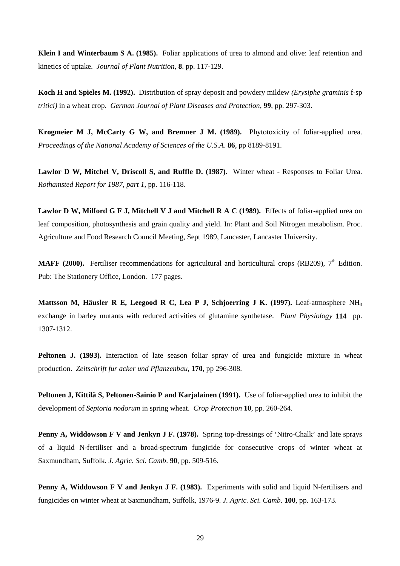**Klein I and Winterbaum S A. (1985).** Foliar applications of urea to almond and olive: leaf retention and kinetics of uptake. *Journal of Plant Nutrition*, **8**. pp. 117-129.

**Koch H and Spieles M. (1992).** Distribution of spray deposit and powdery mildew *(Erysiphe graminis* f-sp *tritici)* in a wheat crop. *German Journal of Plant Diseases and Protection*, **99**, pp. 297-303.

**Krogmeier M J, McCarty G W, and Bremner J M. (1989).** Phytotoxicity of foliar-applied urea. *Proceedings of the National Academy of Sciences of the U.S.A*. **86**, pp 8189-8191.

**Lawlor D W, Mitchel V, Driscoll S, and Ruffle D. (1987).** Winter wheat - Responses to Foliar Urea. *Rothamsted Report for 1987, part 1*, pp. 116-118.

**Lawlor D W, Milford G F J, Mitchell V J and Mitchell R A C (1989).** Effects of foliar-applied urea on leaf composition, photosynthesis and grain quality and yield. In: Plant and Soil Nitrogen metabolism. Proc. Agriculture and Food Research Council Meeting, Sept 1989, Lancaster, Lancaster University.

**MAFF (2000).** Fertiliser recommendations for agricultural and horticultural crops (RB209),  $7<sup>th</sup>$  Edition. Pub: The Stationery Office, London. 177 pages.

**Mattsson M, Häusler R E, Leegood R C, Lea P J, Schjoerring J K. (1997).** Leaf-atmosphere NH<sub>3</sub> exchange in barley mutants with reduced activities of glutamine synthetase. *Plant Physiology* **114** pp. 1307-1312.

**Peltonen J. (1993).** Interaction of late season foliar spray of urea and fungicide mixture in wheat production. *Zeitschrift fur acker und Pflanzenbau,* **170**, pp 296-308.

**Peltonen J, Kittilä S, Peltonen-Sainio P and Karjalainen (1991).** Use of foliar-applied urea to inhibit the development of *Septoria nodorum* in spring wheat. *Crop Protection* **10**, pp. 260-264.

**Penny A, Widdowson F V and Jenkyn J F. (1978).** Spring top-dressings of 'Nitro-Chalk' and late sprays of a liquid N-fertiliser and a broad-spectrum fungicide for consecutive crops of winter wheat at Saxmundham, Suffolk. *J. Agric. Sci. Camb*. **90**, pp. 509-516.

**Penny A, Widdowson F V and Jenkyn J F. (1983).** Experiments with solid and liquid N-fertilisers and fungicides on winter wheat at Saxmundham, Suffolk, 1976-9. *J. Agric. Sci. Camb*. **100**, pp. 163-173.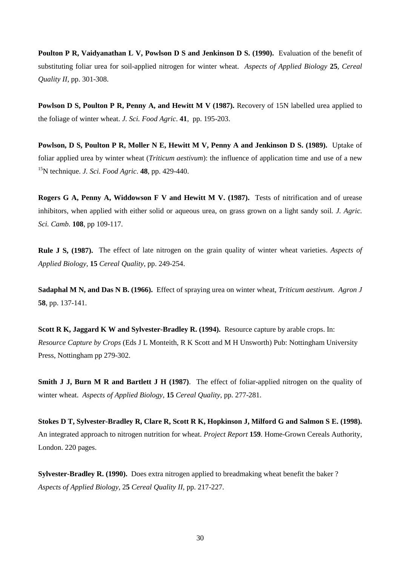**Poulton P R, Vaidyanathan L V, Powlson D S and Jenkinson D S. (1990).** Evaluation of the benefit of substituting foliar urea for soil-applied nitrogen for winter wheat. *Aspects of Applied Biology* **25***, Cereal Quality II*, pp. 301-308.

Powlson D S, Poulton P R, Penny A, and Hewitt M V (1987). Recovery of 15N labelled urea applied to the foliage of winter wheat. *J. Sci. Food Agric*. **41**, pp. 195-203.

**Powlson, D S, Poulton P R, Moller N E, Hewitt M V, Penny A and Jenkinson D S. (1989).** Uptake of foliar applied urea by winter wheat (*Triticum aestivum*): the influence of application time and use of a new 15N technique. *J. Sci. Food Agric*. **48**, pp. 429-440.

**Rogers G A, Penny A, Widdowson F V and Hewitt M V. (1987).** Tests of nitrification and of urease inhibitors, when applied with either solid or aqueous urea, on grass grown on a light sandy soil*. J. Agric. Sci. Camb.* **108**, pp 109-117.

**Rule J S, (1987).** The effect of late nitrogen on the grain quality of winter wheat varieties. *Aspects of Applied Biology*, **15** *Cereal Quality*, pp. 249-254.

**Sadaphal M N, and Das N B. (1966).** Effect of spraying urea on winter wheat, *Triticum aestivum*. *Agron J* **58**, pp. 137-141.

**Scott R K, Jaggard K W and Sylvester-Bradley R. (1994).** Resource capture by arable crops. In: *Resource Capture by Crops* (Eds J L Monteith, R K Scott and M H Unsworth) Pub: Nottingham University Press, Nottingham pp 279-302.

**Smith J J, Burn M R and Bartlett J H (1987)**. The effect of foliar-applied nitrogen on the quality of winter wheat. *Aspects of Applied Biology*, **15** *Cereal Quality*, pp. 277-281.

**Stokes D T, Sylvester-Bradley R, Clare R, Scott R K, Hopkinson J, Milford G and Salmon S E. (1998).** An integrated approach to nitrogen nutrition for wheat. *Project Report* **159**. Home-Grown Cereals Authority, London. 220 pages.

**Sylvester-Bradley R. (1990).** Does extra nitrogen applied to breadmaking wheat benefit the baker ? *Aspects of Applied Biology*, 2**5** *Cereal Quality II*, pp. 217-227.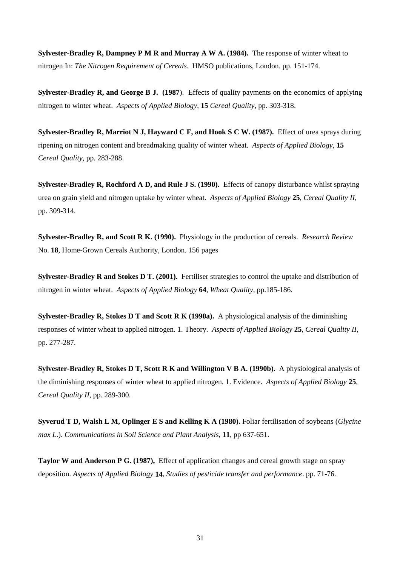**Sylvester-Bradley R, Dampney P M R and Murray A W A. (1984).** The response of winter wheat to nitrogen In: *The Nitrogen Requirement of Cereals.* HMSO publications, London. pp. 151-174.

**Sylvester-Bradley R, and George B J. (1987**). Effects of quality payments on the economics of applying nitrogen to winter wheat. *Aspects of Applied Biology*, **15** *Cereal Quality*, pp. 303-318.

**Sylvester-Bradley R, Marriot N J, Hayward C F, and Hook S C W. (1987).** Effect of urea sprays during ripening on nitrogen content and breadmaking quality of winter wheat. *Aspects of Applied Biology*, **15** *Cereal Quality*, pp. 283-288.

**Sylvester-Bradley R, Rochford A D, and Rule J S. (1990).** Effects of canopy disturbance whilst spraying urea on grain yield and nitrogen uptake by winter wheat. *Aspects of Applied Biology* **25***, Cereal Quality II*, pp. 309-314.

**Sylvester-Bradley R, and Scott R K. (1990).** Physiology in the production of cereals. *Research Review* No. **18***,* Home-Grown Cereals Authority, London. 156 pages

**Sylvester-Bradley R and Stokes D T. (2001).** Fertiliser strategies to control the uptake and distribution of nitrogen in winter wheat. *Aspects of Applied Biology* **64**, *Wheat Quality,* pp.185-186.

**Sylvester-Bradley R, Stokes D T and Scott R K (1990a).** A physiological analysis of the diminishing responses of winter wheat to applied nitrogen. 1. Theory. *Aspects of Applied Biology* **25***, Cereal Quality II*, pp. 277-287.

**Sylvester-Bradley R, Stokes D T, Scott R K and Willington V B A. (1990b).** A physiological analysis of the diminishing responses of winter wheat to applied nitrogen. 1. Evidence. *Aspects of Applied Biology* **25***, Cereal Quality II*, pp. 289-300.

**Syverud T D, Walsh L M, Oplinger E S and Kelling K A (1980).** Foliar fertilisation of soybeans (*Glycine max L*.). *Communications in Soil Science and Plant Analysis*, **11**, pp 637-651.

**Taylor W and Anderson P G. (1987).** Effect of application changes and cereal growth stage on spray deposition. *Aspects of Applied Biology* **14***, Studies of pesticide transfer and performance*. pp. 71-76.